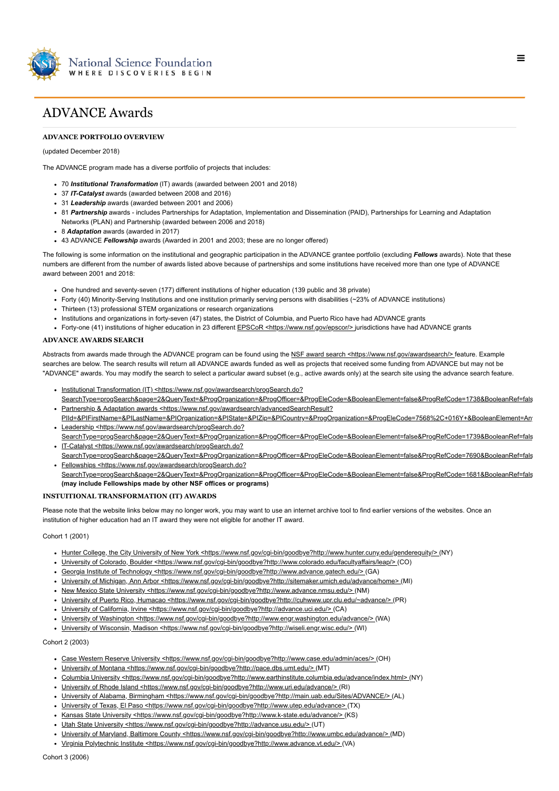

# ADVANCE Awards

# **ADVANCE PORTFOLIO OVERVIEW**

# (updated December 2018)

The ADVANCE program made has a diverse portfolio of projects that includes:

- 70 *Institutional Transformation* (IT) awards (awarded between 2001 and 2018)
- 37 *IT-Catalyst* awards (awarded between 2008 and 2016)
- 31 *Leadership* awards (awarded between 2001 and 2006)
- 81 *Partnership* awards includes Partnerships for Adaptation, Implementation and Dissemination (PAID), Partnerships for Learning and Adaptation Networks (PLAN) and Partnership (awarded between 2006 and 2018)
- 8 *Adaptation* awards (awarded in 2017)
- 43 ADVANCE *Fellowship* awards (Awarded in 2001 and 2003; these are no longer offered)

The following is some information on the institutional and geographic participation in the ADVANCE grantee portfolio (excluding *Fellows* awards). Note that these numbers are different from the number of awards listed above because of partnerships and some institutions have received more than one type of ADVANCE award between 2001 and 2018:

- One hundred and seventy-seven (177) different institutions of higher education (139 public and 38 private)
- Forty (40) Minority-Serving Institutions and one institution primarily serving persons with disabilities (~23% of ADVANCE institutions)
- Thirteen (13) professional STEM organizations or research organizations
- Institutions and organizations in forty-seven (47) states, the District of Columbia, and Puerto Rico have had ADVANCE grants
- Forty-one (41) institutions of higher education in 23 different [EPSCoR <https://www.nsf.gov/epscor/>](https://www.nsf.gov/epscor/) jurisdictions have had ADVANCE grants

# **ADVANCE AWARDS SEARCH**

Abstracts from awards made through the ADVANCE program can be found using the [NSF award search <https://www.nsf.gov/awardsearch/>](https://www.nsf.gov/awardsearch/) feature. Example searches are below. The search results will return all ADVANCE awards funded as well as projects that received some funding from ADVANCE but may not be "ADVANCE" awards. You may modify the search to select a particular award subset (e.g., active awards only) at the search site using the advance search feature.

- Institutional Transformation (IT) <https://www.nsf.gov/awardsearch/progSearch.do?
- [SearchType=progSearch&page=2&QueryText=&ProgOrganization=&ProgOfficer=&ProgEleCode=&BooleanElement=false&ProgRefCode=1738&BooleanRef=fals](https://www.nsf.gov/awardsearch/progSearch.do?SearchType=progSearch&page=2&QueryText=&ProgOrganization=&ProgOfficer=&ProgEleCode=&BooleanElement=false&ProgRefCode=1738&BooleanRef=false&ProgProgram=&ProgFoaCode=&Search=Search#results) • Partnership & Adaptation awards <https://www.nsf.gov/awardsearch/advancedSearchResult?
- [PIId=&PIFirstName=&PILastName=&PIOrganization=&PIState=&PIZip=&PICountry=&ProgOrganization=&ProgEleCode=7568%2C+016Y+&BooleanElement=Any](https://www.nsf.gov/awardsearch/advancedSearchResult?PIId=&PIFirstName=&PILastName=&PIOrganization=&PIState=&PIZip=&PICountry=&ProgOrganization=&ProgEleCode=7568%2C+016Y+&BooleanElement=Any&ProgRefCode=7568%2C+7650%2C+011Z&BooleanRef=Any&Program=&ProgOfficer=&Keyword=&AwardNumberOperator=&AwardAmount=&AwardInstrument=&ActiveAwards=true&ExpiredAwards=true&OriginalAwardDateOperator=&StartDateOperator=&ExpDateOperator=) • Leadership <https://www.nsf.gov/awardsearch/progSearch.do?
- [SearchType=progSearch&page=2&QueryText=&ProgOrganization=&ProgOfficer=&ProgEleCode=&BooleanElement=false&ProgRefCode=1739&BooleanRef=fals](https://www.nsf.gov/awardsearch/progSearch.do?SearchType=progSearch&page=2&QueryText=&ProgOrganization=&ProgOfficer=&ProgEleCode=&BooleanElement=false&ProgRefCode=1739&BooleanRef=false&ProgProgram=&ProgFoaCode=&Search=Search#results) • IT-Catalyst <https://www.nsf.gov/awardsearch/progSearch.do?
- [SearchType=progSearch&page=2&QueryText=&ProgOrganization=&ProgOfficer=&ProgEleCode=&BooleanElement=false&ProgRefCode=7690&BooleanRef=fals](https://www.nsf.gov/awardsearch/progSearch.do?SearchType=progSearch&page=2&QueryText=&ProgOrganization=&ProgOfficer=&ProgEleCode=&BooleanElement=false&ProgRefCode=7690&BooleanRef=false&ProgProgram=&ProgFoaCode=&Search=Search#results) • Fellowships <https://www.nsf.gov/awardsearch/progSearch.do?
- [SearchType=progSearch&page=2&QueryText=&ProgOrganization=&ProgOfficer=&ProgEleCode=&BooleanElement=false&ProgRefCode=1681&BooleanRef=fals](https://www.nsf.gov/awardsearch/progSearch.do?SearchType=progSearch&page=2&QueryText=&ProgOrganization=&ProgOfficer=&ProgEleCode=&BooleanElement=false&ProgRefCode=1681&BooleanRef=false&ProgProgram=&ProgFoaCode=&Search=Search#results) **(may include Fellowships made by other NSF offices or programs)**

# **INSTUITIONAL TRANSFORMATION (IT) AWARDS**

Please note that the website links below may no longer work, you may want to use an internet archive tool to find earlier versions of the websites. Once an institution of higher education had an IT award they were not eligible for another IT award.

Cohort 1 (2001)

- Hunter College, the City University of New York <https://www.nsf.gov/cgi-bin/goodbye?http://www.hunter.cuny.edu/gendereguity/> (NY)
- [University of Colorado, Boulder <https://www.nsf.gov/cgi-bin/goodbye?http://www.colorado.edu/facultyaffairs/leap/>](https://www.nsf.gov/cgi-bin/goodbye?http://www.colorado.edu/facultyaffairs/leap/) (CO)
- [Georgia Institute of Technology <https://www.nsf.gov/cgi-bin/goodbye?http://www.advance.gatech.edu/>](https://www.nsf.gov/cgi-bin/goodbye?http://www.advance.gatech.edu/) (GA)
- [University of Michigan, Ann Arbor <https://www.nsf.gov/cgi-bin/goodbye?http://sitemaker.umich.edu/advance/home> \(](https://www.nsf.gov/cgi-bin/goodbye?http://sitemaker.umich.edu/advance/home)MI)
- [New Mexico State University <https://www.nsf.gov/cgi-bin/goodbye?http://www.advance.nmsu.edu/> \(](https://www.nsf.gov/cgi-bin/goodbye?http://www.advance.nmsu.edu/)NM)
- [University of Puerto Rico, Humacao <https://www.nsf.gov/cgi-bin/goodbye?http://cuhwww.upr.clu.edu/~advance/>](https://www.nsf.gov/cgi-bin/goodbye?http://cuhwww.upr.clu.edu/~advance/) (PR)
- [University of California, Irvine <https://www.nsf.gov/cgi-bin/goodbye?http://advance.uci.edu/> \(](https://www.nsf.gov/cgi-bin/goodbye?http://advance.uci.edu/)CA)
- · [University of Washington <https://www.nsf.gov/cgi-bin/goodbye?http://www.engr.washington.edu/advance/> \(](https://www.nsf.gov/cgi-bin/goodbye?http://www.engr.washington.edu/advance/)WA)
- [University of Wisconsin, Madison <https://www.nsf.gov/cgi-bin/goodbye?http://wiseli.engr.wisc.edu/>](https://www.nsf.gov/cgi-bin/goodbye?http://wiseli.engr.wisc.edu/) (WI)

Cohort 2 (2003)

- · [Case Western Reserve University <https://www.nsf.gov/cgi-bin/goodbye?http://www.case.edu/admin/aces/> \(](https://www.nsf.gov/cgi-bin/goodbye?http://www.case.edu/admin/aces/)OH)
- [University of Montana <https://www.nsf.gov/cgi-bin/goodbye?http://pace.dbs.umt.edu/>](https://www.nsf.gov/cgi-bin/goodbye?http://pace.dbs.umt.edu/) (MT)
- [Columbia University <https://www.nsf.gov/cgi-bin/goodbye?http://www.earthinstitute.columbia.edu/advance/index.html> \(](https://www.nsf.gov/cgi-bin/goodbye?http://www.earthinstitute.columbia.edu/advance/index.html)NY)
- [University of Rhode Island <https://www.nsf.gov/cgi-bin/goodbye?http://www.uri.edu/advance/>](https://www.nsf.gov/cgi-bin/goodbye?http://www.uri.edu/advance/) (RI)
- [University of Alabama, Birmingham <https://www.nsf.gov/cgi-bin/goodbye?http://main.uab.edu/Sites/ADVANCE/>](https://www.nsf.gov/cgi-bin/goodbye?http://main.uab.edu/Sites/ADVANCE/) (AL)
- University of Texas, El Paso <https://www.nsf.gov/cqi-bin/goodbye?http://www.utep.edu/advance> (TX)
- [Kansas State University <https://www.nsf.gov/cgi-bin/goodbye?http://www.k-state.edu/advance/> \(](https://www.nsf.gov/cgi-bin/goodbye?http://www.k-state.edu/advance/)KS)
- [Utah State University <https://www.nsf.gov/cgi-bin/goodbye?http://advance.usu.edu/> \(](https://www.nsf.gov/cgi-bin/goodbye?http://advance.usu.edu/)UT)
- · [University of Maryland, Baltimore County <https://www.nsf.gov/cgi-bin/goodbye?http://www.umbc.edu/advance/> \(](https://www.nsf.gov/cgi-bin/goodbye?http://www.umbc.edu/advance/)MD)
- [Virginia Polytechnic Institute <https://www.nsf.gov/cgi-bin/goodbye?http://www.advance.vt.edu/>](https://www.nsf.gov/cgi-bin/goodbye?http://www.advance.vt.edu/) (VA)